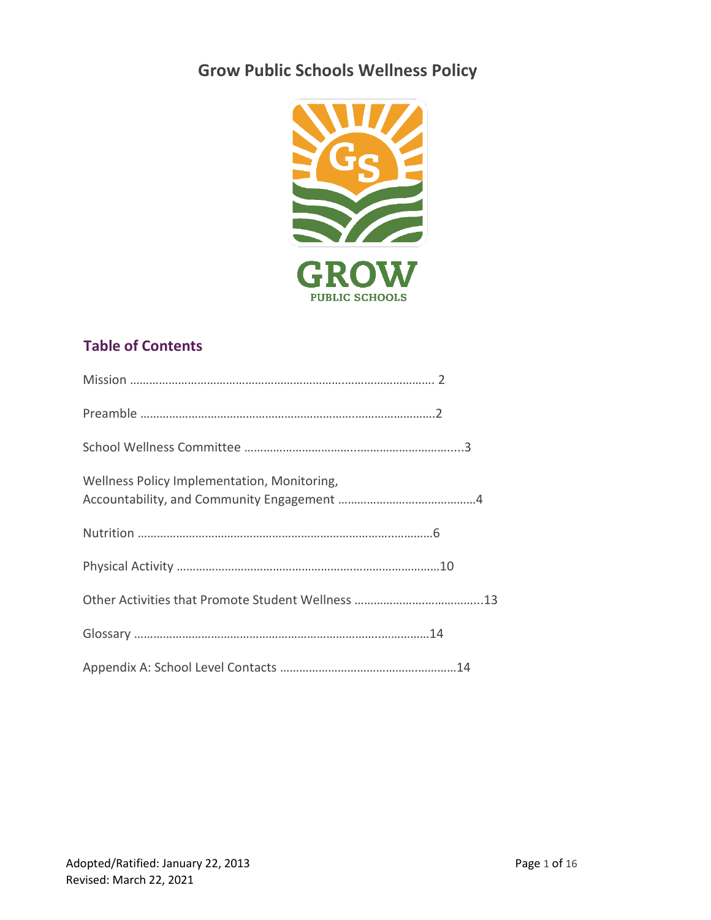# **Grow Public Schools Wellness Policy**



# **Table of Contents**

| Wellness Policy Implementation, Monitoring, |
|---------------------------------------------|
|                                             |
|                                             |
|                                             |
|                                             |
|                                             |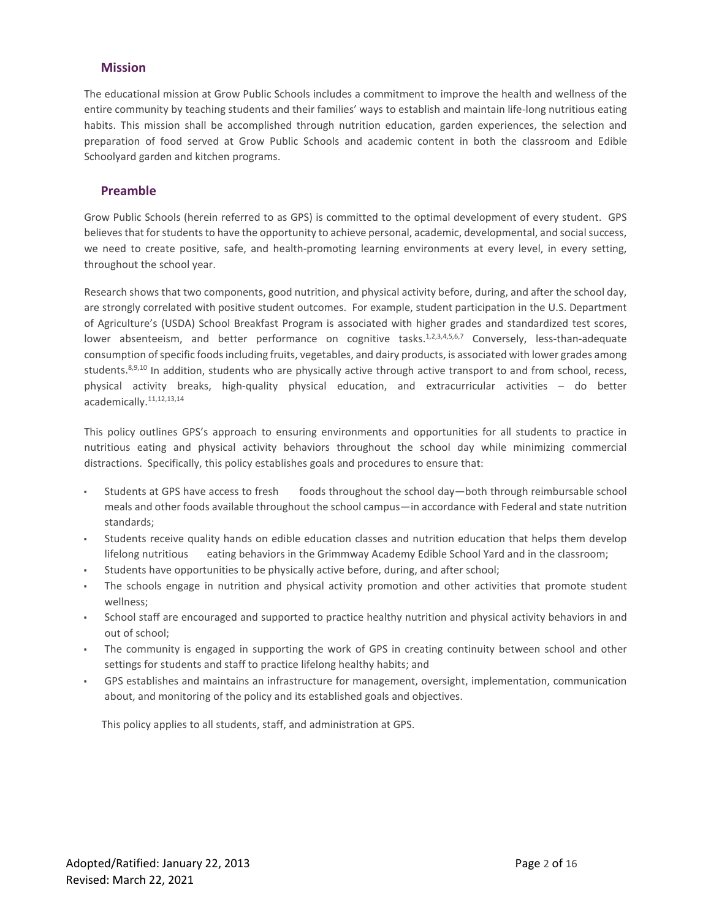# **Mission**

The educational mission at Grow Public Schools includes a commitment to improve the health and wellness of the entire community by teaching students and their families' ways to establish and maintain life-long nutritious eating habits. This mission shall be accomplished through nutrition education, garden experiences, the selection and preparation of food served at Grow Public Schools and academic content in both the classroom and Edible Schoolyard garden and kitchen programs.

# **Preamble**

Grow Public Schools (herein referred to as GPS) is committed to the optimal development of every student. GPS believes that for students to have the opportunity to achieve personal, academic, developmental, and social success, we need to create positive, safe, and health-promoting learning environments at every level, in every setting, throughout the school year.

Research shows that two components, good nutrition, and physical activity before, during, and after the school day, are strongly correlated with positive student outcomes. For example, student participation in the U.S. Department of Agriculture's (USDA) School Breakfast Program is associated with higher grades and standardized test scores, lower absenteeism, and better performance on cognitive tasks.<sup>1,2,3,4,5,6,7</sup> Conversely, less-than-adequate consumption of specific foods including fruits, vegetables, and dairy products, is associated with lower grades among students.<sup>8,9,10</sup> In addition, students who are physically active through active transport to and from school, recess, physical activity breaks, high-quality physical education, and extracurricular activities – do better academically.11,12,13,14

This policy outlines GPS's approach to ensuring environments and opportunities for all students to practice in nutritious eating and physical activity behaviors throughout the school day while minimizing commercial distractions. Specifically, this policy establishes goals and procedures to ensure that:

- Students at GPS have access to fresh foods throughout the school day—both through reimbursable school meals and other foods available throughout the school campus—in accordance with Federal and state nutrition standards;
- Students receive quality hands on edible education classes and nutrition education that helps them develop lifelong nutritious eating behaviors in the Grimmway Academy Edible School Yard and in the classroom;
- Students have opportunities to be physically active before, during, and after school;
- The schools engage in nutrition and physical activity promotion and other activities that promote student wellness;
- School staff are encouraged and supported to practice healthy nutrition and physical activity behaviors in and out of school;
- The community is engaged in supporting the work of GPS in creating continuity between school and other settings for students and staff to practice lifelong healthy habits; and
- GPS establishes and maintains an infrastructure for management, oversight, implementation, communication about, and monitoring of the policy and its established goals and objectives.

This policy applies to all students, staff, and administration at GPS.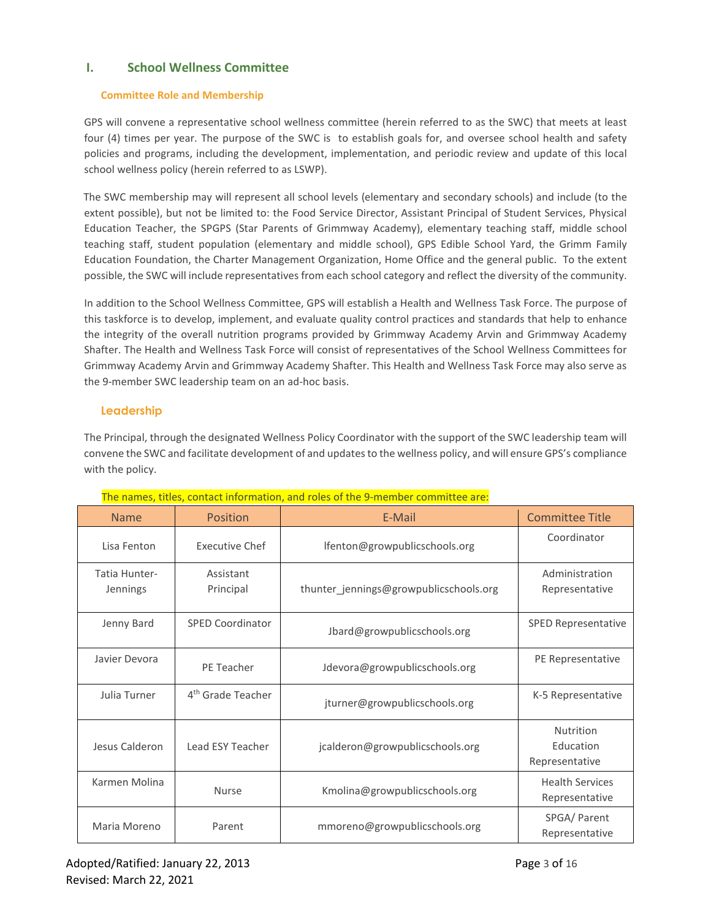# **I. School Wellness Committee**

# **Committee Role and Membership**

GPS will convene a representative school wellness committee (herein referred to as the SWC) that meets at least four (4) times per year. The purpose of the SWC is to establish goals for, and oversee school health and safety policies and programs, including the development, implementation, and periodic review and update of this local school wellness policy (herein referred to as LSWP).

The SWC membership may will represent all school levels (elementary and secondary schools) and include (to the extent possible), but not be limited to: the Food Service Director, Assistant Principal of Student Services, Physical Education Teacher, the SPGPS (Star Parents of Grimmway Academy), elementary teaching staff, middle school teaching staff, student population (elementary and middle school), GPS Edible School Yard, the Grimm Family Education Foundation, the Charter Management Organization, Home Office and the general public. To the extent possible, the SWC will include representatives from each school category and reflect the diversity of the community.

In addition to the School Wellness Committee, GPS will establish a Health and Wellness Task Force. The purpose of this taskforce is to develop, implement, and evaluate quality control practices and standards that help to enhance the integrity of the overall nutrition programs provided by Grimmway Academy Arvin and Grimmway Academy Shafter. The Health and Wellness Task Force will consist of representatives of the School Wellness Committees for Grimmway Academy Arvin and Grimmway Academy Shafter. This Health and Wellness Task Force may also serve as the 9-member SWC leadership team on an ad-hoc basis.

# **Leadership**

The Principal, through the designated Wellness Policy Coordinator with the support of the SWC leadership team will convene the SWC and facilitate development of and updates to the wellness policy, and will ensure GPS's compliance with the policy.

| <b>Name</b>               | Position                      | E-Mail                                 | <b>Committee Title</b>                   |  |  |  |
|---------------------------|-------------------------------|----------------------------------------|------------------------------------------|--|--|--|
| Lisa Fenton               | <b>Executive Chef</b>         | lfenton@growpublicschools.org          | Coordinator                              |  |  |  |
| Tatia Hunter-<br>Jennings | Assistant<br>Principal        | thunter jennings@growpublicschools.org | Administration<br>Representative         |  |  |  |
| Jenny Bard                | <b>SPED Coordinator</b>       | Jbard@growpublicschools.org            | <b>SPED Representative</b>               |  |  |  |
| Javier Devora             | PE Teacher                    | Jdevora@growpublicschools.org          | PE Representative                        |  |  |  |
| Julia Turner              | 4 <sup>th</sup> Grade Teacher | jturner@growpublicschools.org          | K-5 Representative                       |  |  |  |
| Jesus Calderon            | Lead ESY Teacher              | jcalderon@growpublicschools.org        | Nutrition<br>Education<br>Representative |  |  |  |
| Karmen Molina             | <b>Nurse</b>                  | Kmolina@growpublicschools.org          | <b>Health Services</b><br>Representative |  |  |  |
| Maria Moreno              | Parent                        | mmoreno@growpublicschools.org          | SPGA/ Parent<br>Representative           |  |  |  |

The names, titles, contact information, and roles of the 9-member committee are: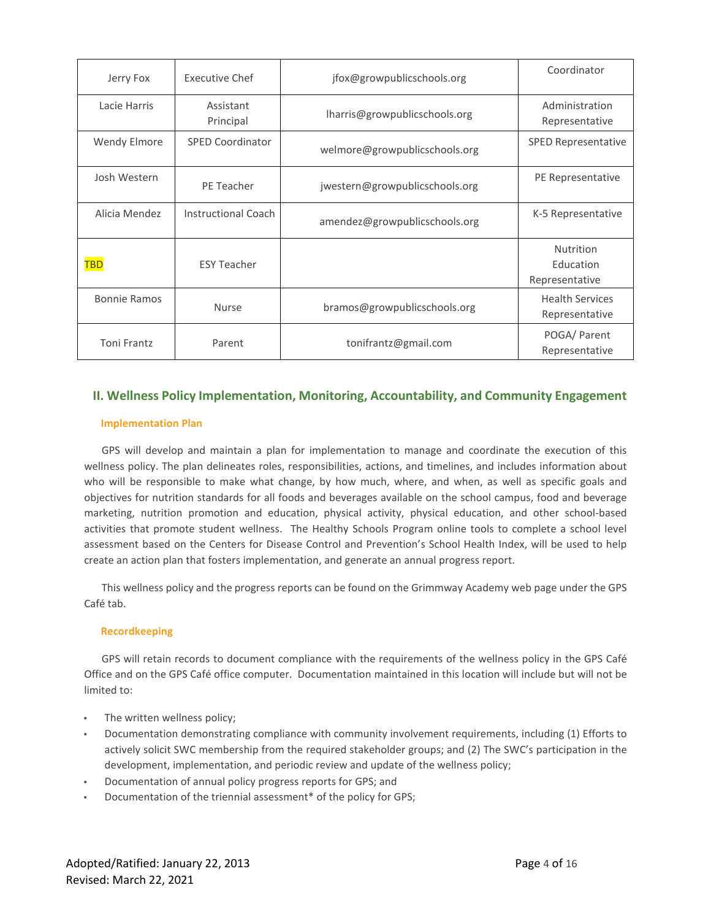| Jerry Fox           | Executive Chef          | jfox@growpublicschools.org     | Coordinator                              |
|---------------------|-------------------------|--------------------------------|------------------------------------------|
| Lacie Harris        | Assistant<br>Principal  | lharris@growpublicschools.org  | Administration<br>Representative         |
| <b>Wendy Elmore</b> | <b>SPED Coordinator</b> | welmore@growpublicschools.org  | <b>SPED Representative</b>               |
| Josh Western        | PE Teacher              | jwestern@growpublicschools.org | PE Representative                        |
| Alicia Mendez       | Instructional Coach     | amendez@growpublicschools.org  | K-5 Representative                       |
| <b>TBD</b>          | <b>ESY Teacher</b>      |                                | Nutrition<br>Education<br>Representative |
| <b>Bonnie Ramos</b> | <b>Nurse</b>            | bramos@growpublicschools.org   | <b>Health Services</b><br>Representative |
| <b>Toni Frantz</b>  | Parent                  | tonifrantz@gmail.com           | POGA/ Parent<br>Representative           |

# **II. Wellness Policy Implementation, Monitoring, Accountability, and Community Engagement**

## **Implementation Plan**

GPS will develop and maintain a plan for implementation to manage and coordinate the execution of this wellness policy. The plan delineates roles, responsibilities, actions, and timelines, and includes information about who will be responsible to make what change, by how much, where, and when, as well as specific goals and objectives for nutrition standards for all foods and beverages available on the school campus, food and beverage marketing, nutrition promotion and education, physical activity, physical education, and other school-based activities that promote student wellness. The Healthy Schools Program online tools to complete a school level assessment based on the Centers for Disease Control and Prevention's School Health Index, will be used to help create an action plan that fosters implementation, and generate an annual progress report.

This wellness policy and the progress reports can be found on the Grimmway Academy web page under the GPS Café tab.

# **Recordkeeping**

GPS will retain records to document compliance with the requirements of the wellness policy in the GPS Café Office and on the GPS Café office computer. Documentation maintained in this location will include but will not be limited to:

- The written wellness policy;
- Documentation demonstrating compliance with community involvement requirements, including (1) Efforts to actively solicit SWC membership from the required stakeholder groups; and (2) The SWC's participation in the development, implementation, and periodic review and update of the wellness policy;
- Documentation of annual policy progress reports for GPS; and
- Documentation of the triennial assessment\* of the policy for GPS;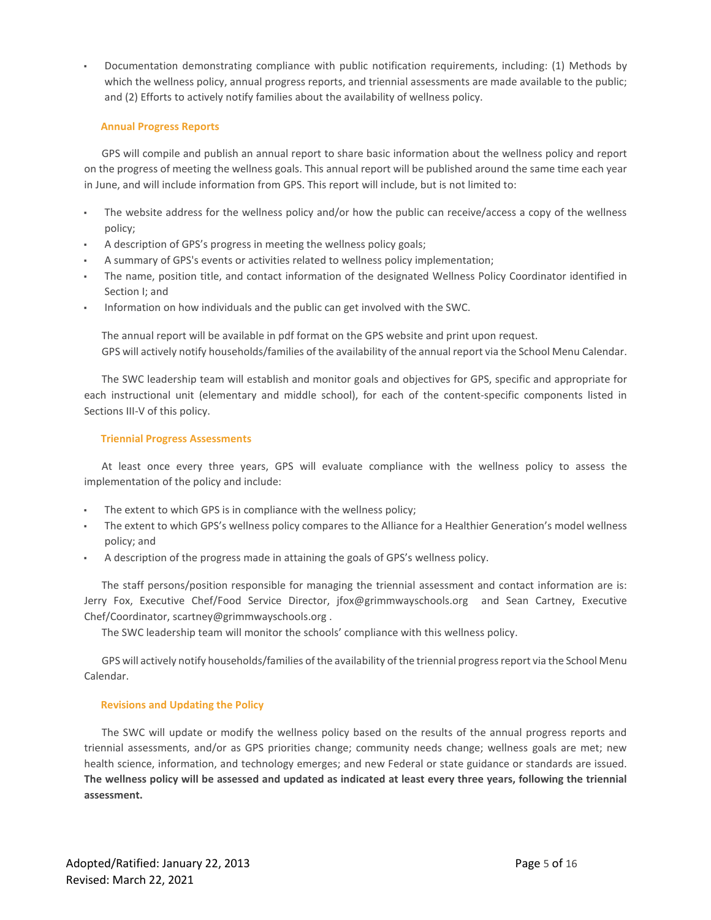Documentation demonstrating compliance with public notification requirements, including: (1) Methods by which the wellness policy, annual progress reports, and triennial assessments are made available to the public; and (2) Efforts to actively notify families about the availability of wellness policy.

# **Annual Progress Reports**

GPS will compile and publish an annual report to share basic information about the wellness policy and report on the progress of meeting the wellness goals. This annual report will be published around the same time each year in June, and will include information from GPS. This report will include, but is not limited to:

- The website address for the wellness policy and/or how the public can receive/access a copy of the wellness policy;
- A description of GPS's progress in meeting the wellness policy goals;
- A summary of GPS's events or activities related to wellness policy implementation;
- The name, position title, and contact information of the designated Wellness Policy Coordinator identified in Section I; and
- Information on how individuals and the public can get involved with the SWC.

The annual report will be available in pdf format on the GPS website and print upon request. GPS will actively notify households/families of the availability of the annual report via the School Menu Calendar.

The SWC leadership team will establish and monitor goals and objectives for GPS, specific and appropriate for each instructional unit (elementary and middle school), for each of the content-specific components listed in Sections III-V of this policy.

# **Triennial Progress Assessments**

At least once every three years, GPS will evaluate compliance with the wellness policy to assess the implementation of the policy and include:

- The extent to which GPS is in compliance with the wellness policy;
- The extent to which GPS's wellness policy compares to the Alliance for a Healthier Generation's model wellness policy; and
- A description of the progress made in attaining the goals of GPS's wellness policy.

The staff persons/position responsible for managing the triennial assessment and contact information are is: Jerry Fox, Executive Chef/Food Service Director, jfox@grimmwayschools.org and Sean Cartney, Executive Chef/Coordinator, [scartney@grimmwayschools.org](mailto:scartney@grimmwayschools.org) .

The SWC leadership team will monitor the schools' compliance with this wellness policy.

GPS will actively notify households/families of the availability of the triennial progress report via the School Menu Calendar.

# **Revisions and Updating the Policy**

The SWC will update or modify the wellness policy based on the results of the annual progress reports and triennial assessments, and/or as GPS priorities change; community needs change; wellness goals are met; new health science, information, and technology emerges; and new Federal or state guidance or standards are issued. **The wellness policy will be assessed and updated as indicated at least every three years, following the triennial assessment.**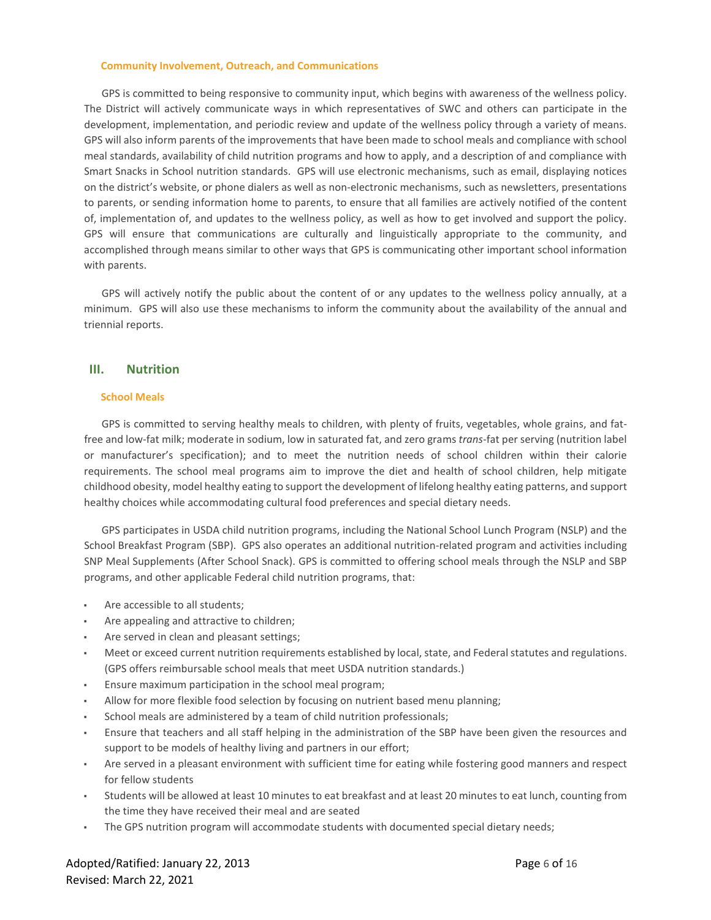#### **Community Involvement, Outreach, and Communications**

GPS is committed to being responsive to community input, which begins with awareness of the wellness policy. The District will actively communicate ways in which representatives of SWC and others can participate in the development, implementation, and periodic review and update of the wellness policy through a variety of means. GPS will also inform parents of the improvements that have been made to school meals and compliance with school meal standards, availability of child nutrition programs and how to apply, and a description of and compliance with Smart Snacks in School nutrition standards. GPS will use electronic mechanisms, such as email, displaying notices on the district's website, or phone dialers as well as non-electronic mechanisms, such as newsletters, presentations to parents, or sending information home to parents, to ensure that all families are actively notified of the content of, implementation of, and updates to the wellness policy, as well as how to get involved and support the policy. GPS will ensure that communications are culturally and linguistically appropriate to the community, and accomplished through means similar to other ways that GPS is communicating other important school information with parents.

GPS will actively notify the public about the content of or any updates to the wellness policy annually, at a minimum. GPS will also use these mechanisms to inform the community about the availability of the annual and triennial reports.

# **III. Nutrition**

# **School Meals**

GPS is committed to serving healthy meals to children, with plenty of fruits, vegetables, whole grains, and fatfree and low-fat milk; moderate in sodium, low in saturated fat, and zero grams *trans*-fat per serving (nutrition label or manufacturer's specification); and to meet the nutrition needs of school children within their calorie requirements. The school meal programs aim to improve the diet and health of school children, help mitigate childhood obesity, model healthy eating to support the development of lifelong healthy eating patterns, and support healthy choices while accommodating cultural food preferences and special dietary needs.

GPS participates in USDA child nutrition programs, including the National School Lunch Program (NSLP) and the School Breakfast Program (SBP). GPS also operates an additional nutrition-related program and activities including SNP Meal Supplements (After School Snack). GPS is committed to offering school meals through the NSLP and SBP programs, and other applicable Federal child nutrition programs, that:

- Are accessible to all students;
- Are appealing and attractive to children;
- Are served in clean and pleasant settings;
- Meet or exceed current nutrition requirements established by local, state, and Federal statutes and regulations. (GPS offers reimbursable school meals that meet USDA nutrition standards.)
- Ensure maximum participation in the school meal program;
- Allow for more flexible food selection by focusing on nutrient based menu planning;
- School meals are administered by a team of child nutrition professionals;
- Ensure that teachers and all staff helping in the administration of the SBP have been given the resources and support to be models of healthy living and partners in our effort;
- Are served in a pleasant environment with sufficient time for eating while fostering good manners and respect for fellow students
- Students will be allowed at least 10 minutes to eat breakfast and at least 20 minutes to eat lunch, counting from the time they have received their meal and are seated
- The GPS nutrition program will accommodate students with documented special dietary needs;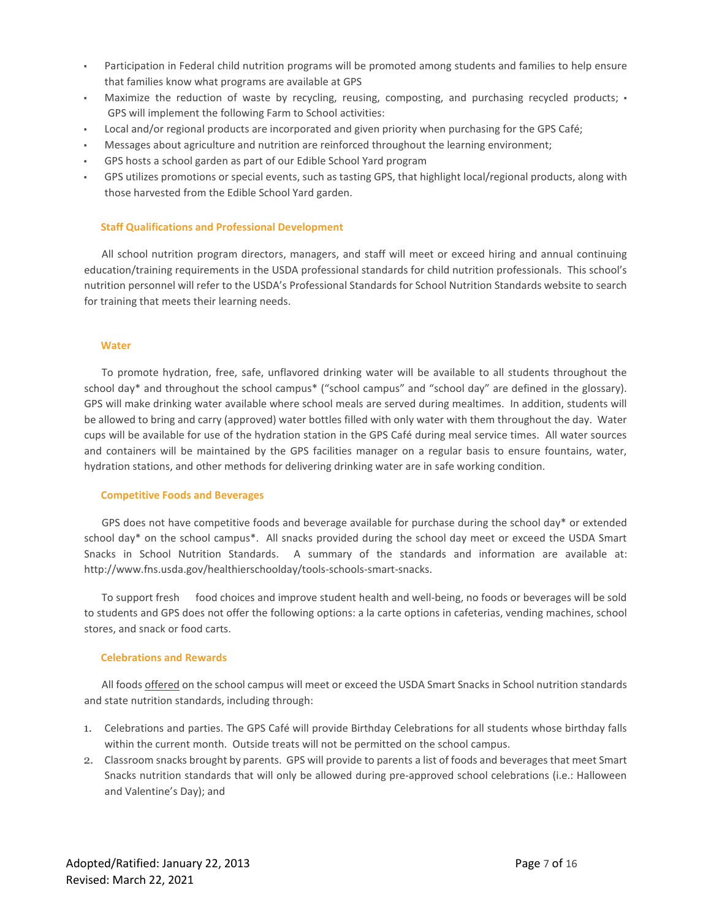- Participation in Federal child nutrition programs will be promoted among students and families to help ensure that families know what programs are available at GPS
- Maximize the reduction of waste by recycling, reusing, composting, and purchasing recycled products;  $\cdot$ GPS will implement the following Farm to School activities:
- Local and/or regional products are incorporated and given priority when purchasing for the GPS Café;
- Messages about agriculture and nutrition are reinforced throughout the learning environment;
- GPS hosts a school garden as part of our Edible School Yard program
- GPS utilizes promotions or special events, such as tasting GPS, that highlight local/regional products, along with those harvested from the Edible School Yard garden.

## **Staff Qualifications and Professional Development**

All school nutrition program directors, managers, and staff will meet or exceed hiring and annual continuing education/training requirements in the USDA professional standards for child nutrition professionals. This school's nutrition personnel will refer to the USDA's Professional Standards for School Nutrition Standards website to search for training that meets their learning needs.

### **Water**

To promote hydration, free, safe, unflavored drinking water will be available to all students throughout the school day\* and throughout the school campus\* ("school campus" and "school day" are defined in the glossary). GPS will make drinking water available where school meals are served during mealtimes. In addition, students will be allowed to bring and carry (approved) water bottles filled with only water with them throughout the day. Water cups will be available for use of the hydration station in the GPS Café during meal service times. All water sources and containers will be maintained by the GPS facilities manager on a regular basis to ensure fountains, water, hydration stations, and other methods for delivering drinking water are in safe working condition.

### **Competitive Foods and Beverages**

GPS does not have competitive foods and beverage available for purchase during the school day\* or extended school day\* on the school campus\*. All snacks provided during the school day meet or exceed the USDA Smart Snacks in School Nutrition Standards. A summary of the standards and information are available at: http://www.fns.usda.gov/healthierschoolday/tools-schools-smart-snacks.

To support fresh food choices and improve student health and well-being, no foods or beverages will be sold to students and GPS does not offer the following options: a la carte options in cafeterias, vending machines, school stores, and snack or food carts.

## **Celebrations and Rewards**

All foods offered on the school campus will meet or exceed the USDA Smart Snacks in School nutrition standards and state nutrition standards, including through:

- 1. Celebrations and parties. The GPS Café will provide Birthday Celebrations for all students whose birthday falls within the current month. Outside treats will not be permitted on the school campus.
- 2. Classroom snacks brought by parents. GPS will provide to parents a list of foods and beverages that meet Smart Snacks nutrition standards that will only be allowed during pre-approved school celebrations (i.e.: Halloween and Valentine's Day); and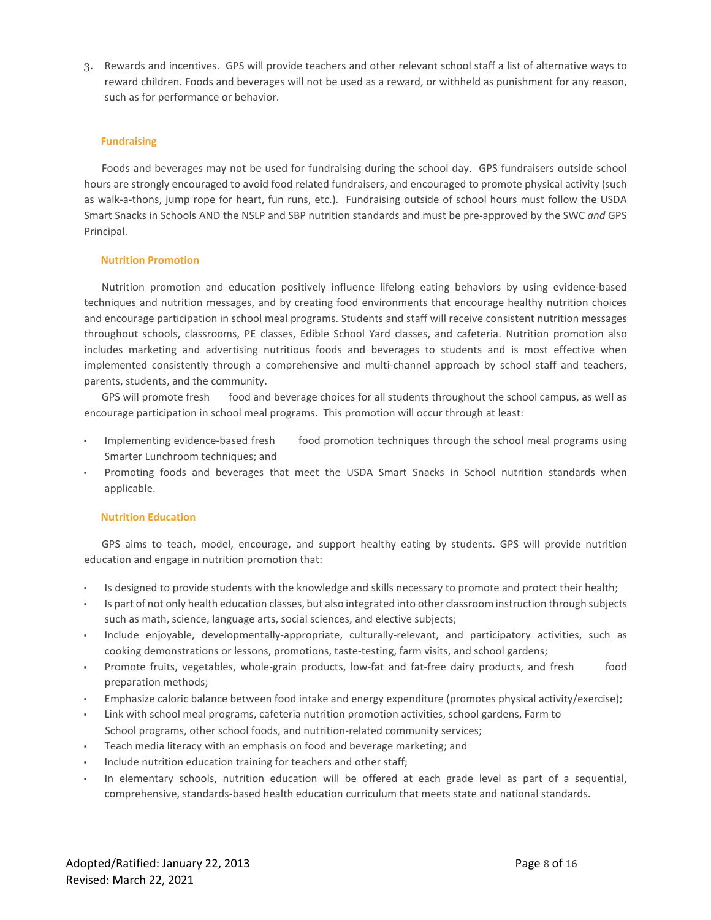3. Rewards and incentives. GPS will provide teachers and other relevant school staff a list of alternative ways to reward children. Foods and beverages will not be used as a reward, or withheld as punishment for any reason, such as for performance or behavior.

## **Fundraising**

Foods and beverages may not be used for fundraising during the school day. GPS fundraisers outside school hours are strongly encouraged to avoid food related fundraisers, and encouraged to promote physical activity (such as walk-a-thons, jump rope for heart, fun runs, etc.). Fundraising outside of school hours must follow the USDA Smart Snacks in Schools AND the NSLP and SBP nutrition standards and must be pre-approved by the SWC *and* GPS Principal.

# **Nutrition Promotion**

Nutrition promotion and education positively influence lifelong eating behaviors by using evidence-based techniques and nutrition messages, and by creating food environments that encourage healthy nutrition choices and encourage participation in school meal programs. Students and staff will receive consistent nutrition messages throughout schools, classrooms, PE classes, Edible School Yard classes, and cafeteria. Nutrition promotion also includes marketing and advertising nutritious foods and beverages to students and is most effective when implemented consistently through a comprehensive and multi-channel approach by school staff and teachers, parents, students, and the community.

GPS will promote fresh food and beverage choices for all students throughout the school campus, as well as encourage participation in school meal programs. This promotion will occur through at least:

- Implementing evidence-based fresh food promotion techniques through the school meal programs using Smarter Lunchroom techniques; and
- Promoting foods and beverages that meet the USDA Smart Snacks in School nutrition standards when applicable.

# **Nutrition Education**

GPS aims to teach, model, encourage, and support healthy eating by students. GPS will provide nutrition education and engage in nutrition promotion that:

- Is designed to provide students with the knowledge and skills necessary to promote and protect their health;
- Is part of not only health education classes, but also integrated into other classroom instruction through subjects such as math, science, language arts, social sciences, and elective subjects;
- Include enjoyable, developmentally-appropriate, culturally-relevant, and participatory activities, such as cooking demonstrations or lessons, promotions, taste-testing, farm visits, and school gardens;
- Promote fruits, vegetables, whole-grain products, low-fat and fat-free dairy products, and fresh food preparation methods;
- Emphasize caloric balance between food intake and energy expenditure (promotes physical activity/exercise);
- Link with school meal programs, cafeteria nutrition promotion activities, school gardens, Farm to School programs, other school foods, and nutrition-related community services;
- Teach media literacy with an emphasis on food and beverage marketing; and
- Include nutrition education training for teachers and other staff;
- In elementary schools, nutrition education will be offered at each grade level as part of a sequential, comprehensive, standards-based health education curriculum that meets state and national standards.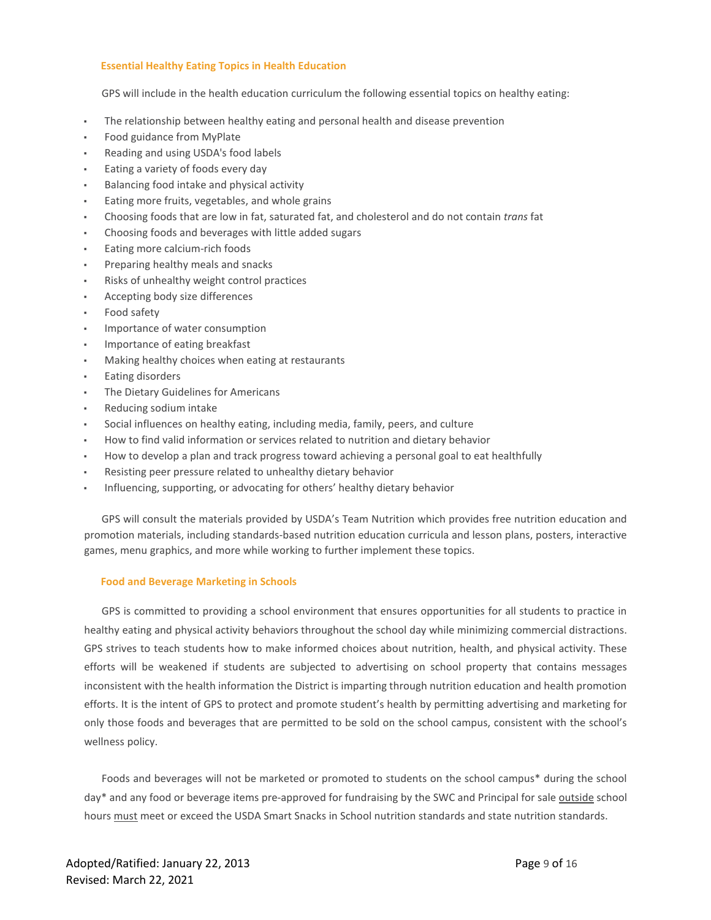## **Essential Healthy Eating Topics in Health Education**

GPS will include in the health education curriculum the following essential topics on healthy eating:

- The relationship between healthy eating and personal health and disease prevention
- Food guidance from MyPlate
- Reading and using USDA's food labels
- Eating a variety of foods every day
- Balancing food intake and physical activity
- Eating more fruits, vegetables, and whole grains
- Choosing foods that are low in fat, saturated fat, and cholesterol and do not contain *trans* fat
- Choosing foods and beverages with little added sugars
- Eating more calcium-rich foods
- Preparing healthy meals and snacks
- Risks of unhealthy weight control practices
- Accepting body size differences
- Food safety
- Importance of water consumption
- Importance of eating breakfast
- Making healthy choices when eating at restaurants
- **Eating disorders**
- The Dietary Guidelines for Americans
- Reducing sodium intake
- Social influences on healthy eating, including media, family, peers, and culture
- How to find valid information or services related to nutrition and dietary behavior
- How to develop a plan and track progress toward achieving a personal goal to eat healthfully
- Resisting peer pressure related to unhealthy dietary behavior
- Influencing, supporting, or advocating for others' healthy dietary behavior

GPS will consult the materials provided by USDA's Team Nutrition which provides free nutrition education and promotion materials, including standards-based nutrition education curricula and lesson plans, posters, interactive games, menu graphics, and more while working to further implement these topics.

### **Food and Beverage Marketing in Schools**

GPS is committed to providing a school environment that ensures opportunities for all students to practice in healthy eating and physical activity behaviors throughout the school day while minimizing commercial distractions. GPS strives to teach students how to make informed choices about nutrition, health, and physical activity. These efforts will be weakened if students are subjected to advertising on school property that contains messages inconsistent with the health information the District is imparting through nutrition education and health promotion efforts. It is the intent of GPS to protect and promote student's health by permitting advertising and marketing for only those foods and beverages that are permitted to be sold on the school campus, consistent with the school's wellness policy.

Foods and beverages will not be marketed or promoted to students on the school campus\* during the school day\* and any food or beverage items pre-approved for fundraising by the SWC and Principal for sale outside school hours must meet or exceed the USDA Smart Snacks in School nutrition standards and state nutrition standards.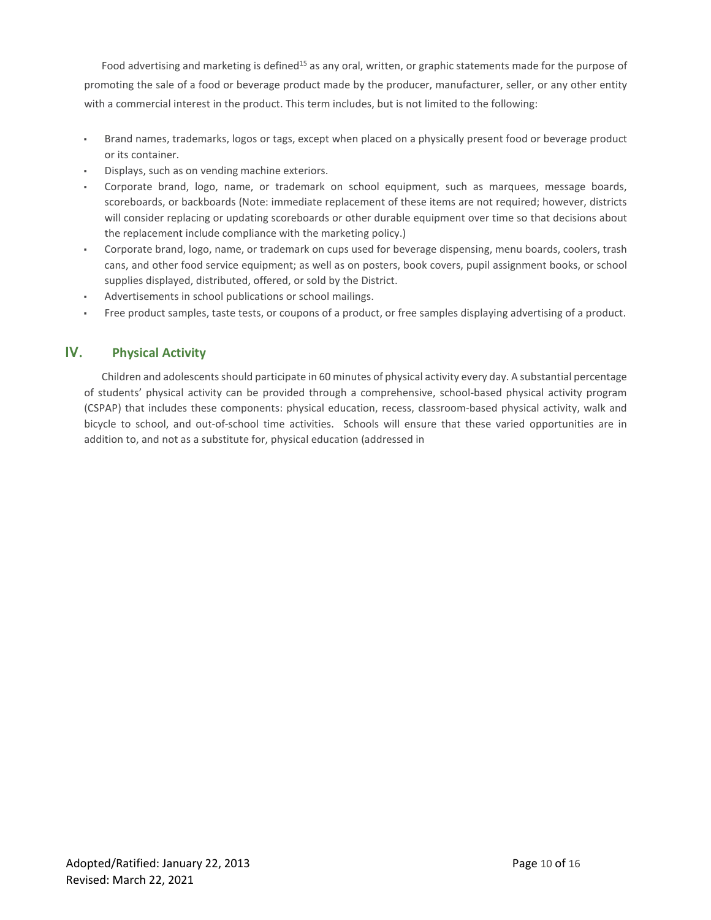Food advertising and marketing is defined<sup>15</sup> as any oral, written, or graphic statements made for the purpose of promoting the sale of a food or beverage product made by the producer, manufacturer, seller, or any other entity with a commercial interest in the product. This term includes, but is not limited to the following:

- Brand names, trademarks, logos or tags, except when placed on a physically present food or beverage product or its container.
- Displays, such as on vending machine exteriors.
- Corporate brand, logo, name, or trademark on school equipment, such as marquees, message boards, scoreboards, or backboards (Note: immediate replacement of these items are not required; however, districts will consider replacing or updating scoreboards or other durable equipment over time so that decisions about the replacement include compliance with the marketing policy.)
- Corporate brand, logo, name, or trademark on cups used for beverage dispensing, menu boards, coolers, trash cans, and other food service equipment; as well as on posters, book covers, pupil assignment books, or school supplies displayed, distributed, offered, or sold by the District.
- Advertisements in school publications or school mailings.
- Free product samples, taste tests, or coupons of a product, or free samples displaying advertising of a product.

# **IV. Physical Activity**

Children and adolescents should participate in 60 minutes of physical activity every day. A substantial percentage of students' physical activity can be provided through a comprehensive, school-based physical activity program (CSPAP) that includes these components: physical education, recess, classroom-based physical activity, walk and bicycle to school, and out-of-school time activities. Schools will ensure that these varied opportunities are in addition to, and not as a substitute for, physical education (addressed in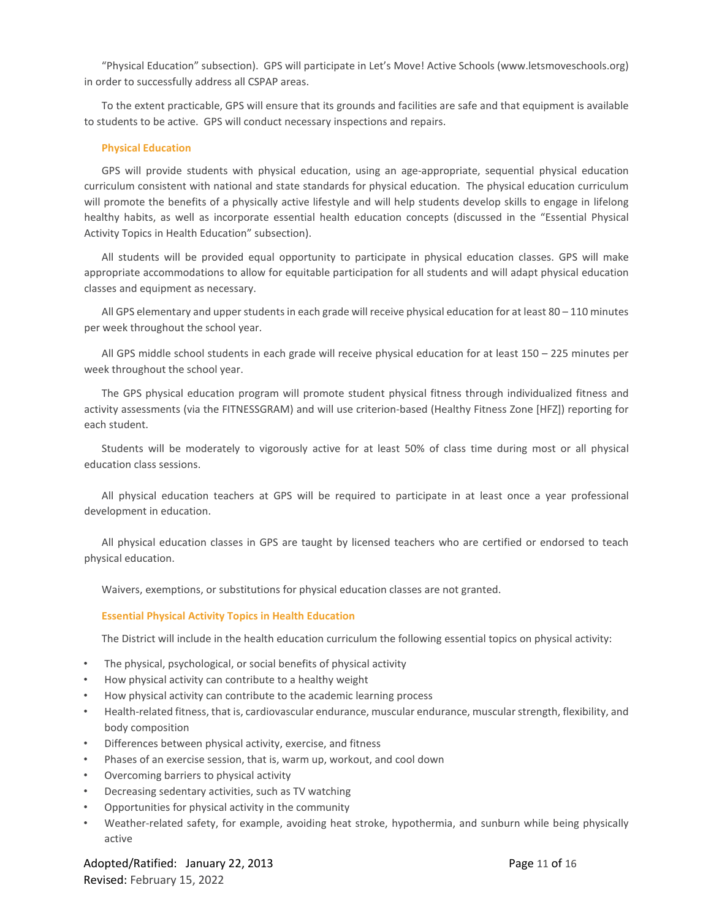"Physical Education" subsection). GPS will participate in Let's Move! Active Schools (www.letsmoveschools.org) in order to successfully address all CSPAP areas.

To the extent practicable, GPS will ensure that its grounds and facilities are safe and that equipment is available to students to be active. GPS will conduct necessary inspections and repairs.

## **Physical Education**

GPS will provide students with physical education, using an age-appropriate, sequential physical education curriculum consistent with national and state standards for physical education. The physical education curriculum will promote the benefits of a physically active lifestyle and will help students develop skills to engage in lifelong healthy habits, as well as incorporate essential health education concepts (discussed in the "Essential Physical Activity Topics in Health Education" subsection).

All students will be provided equal opportunity to participate in physical education classes. GPS will make appropriate accommodations to allow for equitable participation for all students and will adapt physical education classes and equipment as necessary.

All GPS elementary and upper students in each grade will receive physical education for at least 80 – 110 minutes per week throughout the school year.

All GPS middle school students in each grade will receive physical education for at least 150 – 225 minutes per week throughout the school year.

The GPS physical education program will promote student physical fitness through individualized fitness and activity assessments (via the FITNESSGRAM) and will use criterion-based (Healthy Fitness Zone [HFZ]) reporting for each student.

Students will be moderately to vigorously active for at least 50% of class time during most or all physical education class sessions.

All physical education teachers at GPS will be required to participate in at least once a year professional development in education.

All physical education classes in GPS are taught by licensed teachers who are certified or endorsed to teach physical education.

Waivers, exemptions, or substitutions for physical education classes are not granted.

### **Essential Physical Activity Topics in Health Education**

The District will include in the health education curriculum the following essential topics on physical activity:

- The physical, psychological, or social benefits of physical activity
- How physical activity can contribute to a healthy weight
- How physical activity can contribute to the academic learning process
- Health-related fitness, that is, cardiovascular endurance, muscular endurance, muscular strength, flexibility, and body composition
- Differences between physical activity, exercise, and fitness
- Phases of an exercise session, that is, warm up, workout, and cool down
- Overcoming barriers to physical activity
- Decreasing sedentary activities, such as TV watching
- Opportunities for physical activity in the community
- Weather-related safety, for example, avoiding heat stroke, hypothermia, and sunburn while being physically active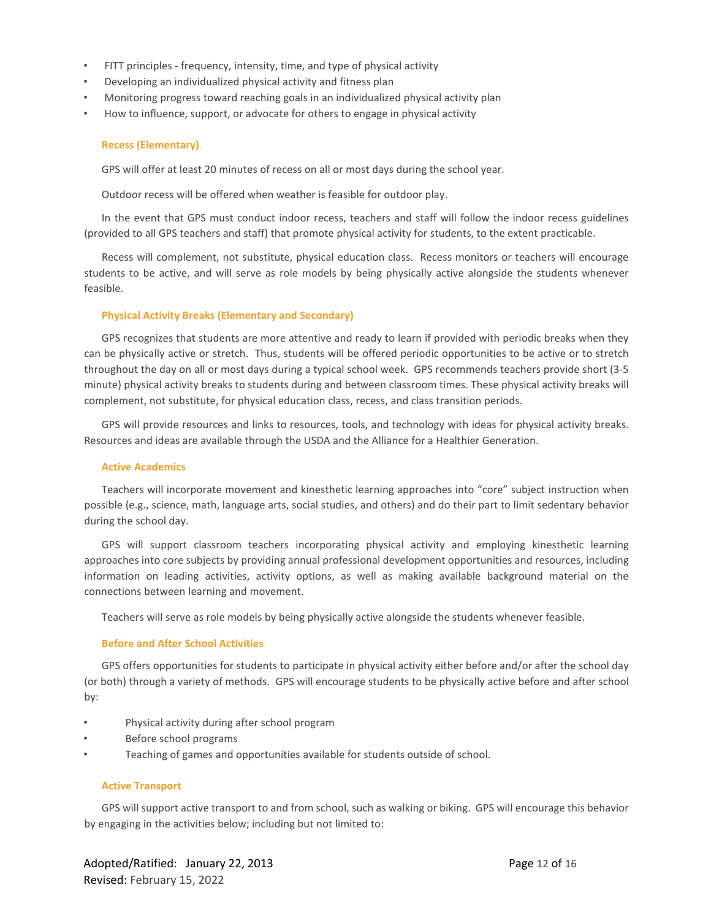- FITT principles frequency, intensity, time, and type of physical activity
- Developing an individualized physical activity and fitness plan
- Monitoring progress toward reaching goals in an individualized physical activity plan
- How to influence, support, or advocate for others to engage in physical activity

## **Recess (Elementary)**

GPS will offer at least 20 minutes of recess on all or most days during the school year.

Outdoor recess will be offered when weather is feasible for outdoor play.

In the event that GPS must conduct indoor recess, teachers and staff will follow the indoor recess guidelines (provided to all GPS teachers and staff) that promote physical activity for students, to the extent practicable.

Recess will complement, not substitute, physical education class. Recess monitors or teachers will encourage students to be active, and will serve as role models by being physically active alongside the students whenever feasible.

## **Physical Activity Breaks (Elementary and Secondary)**

GPS recognizes that students are more attentive and ready to learn if provided with periodic breaks when they can be physically active or stretch. Thus, students will be offered periodic opportunities to be active or to stretch throughout the day on all or most days during a typical school week. GPS recommends teachers provide short (3-5 minute) physical activity breaks to students during and between classroom times. These physical activity breaks will complement, not substitute, for physical education class, recess, and class transition periods.

GPS will provide resources and links to resources, tools, and technology with ideas for physical activity breaks. Resources and ideas are available through the USDA and the Alliance for a Healthier Generation.

### **Active Academics**

Teachers will incorporate movement and kinesthetic learning approaches into "core" subject instruction when possible (e.g., science, math, language arts, social studies, and others) and do their part to limit sedentary behavior during the school day.

GPS will support classroom teachers incorporating physical activity and employing kinesthetic learning approaches into core subjects by providing annual professional development opportunities and resources, including information on leading activities, activity options, as well as making available background material on the connections between learning and movement.

Teachers will serve as role models by being physically active alongside the students whenever feasible.

### **Before and After School Activities**

GPS offers opportunities for students to participate in physical activity either before and/or after the school day (or both) through a variety of methods. GPS will encourage students to be physically active before and after school by:

- Physical activity during after school program
- Before school programs
- Teaching of games and opportunities available for students outside of school.

### **Active Transport**

GPS will support active transport to and from school, such as walking or biking. GPS will encourage this behavior by engaging in the activities below; including but not limited to: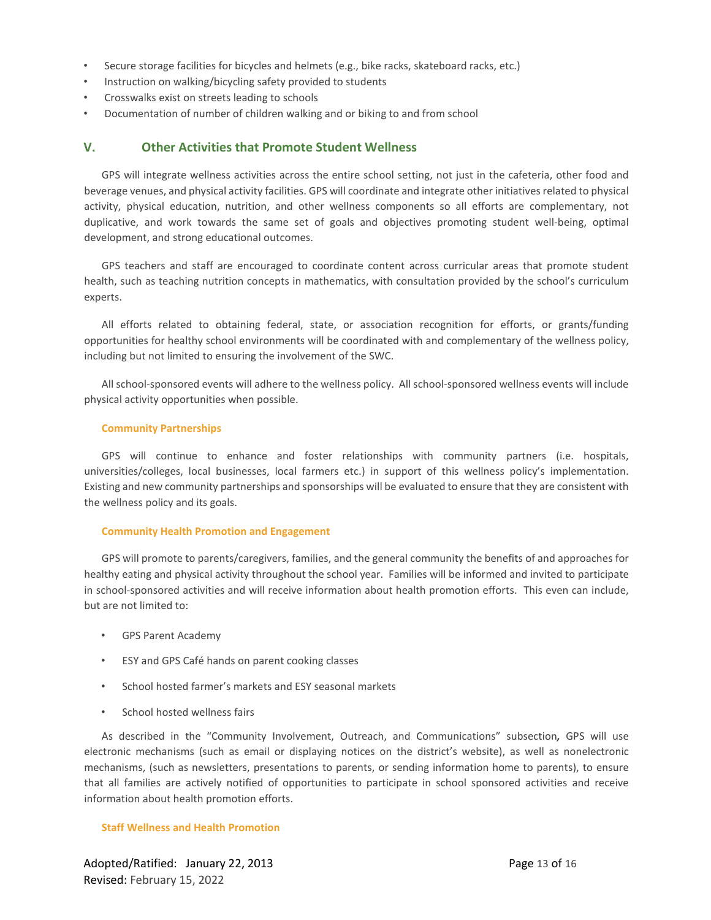- Secure storage facilities for bicycles and helmets (e.g., bike racks, skateboard racks, etc.)
- Instruction on walking/bicycling safety provided to students
- Crosswalks exist on streets leading to schools
- Documentation of number of children walking and or biking to and from school

# **V. Other Activities that Promote Student Wellness**

GPS will integrate wellness activities across the entire school setting, not just in the cafeteria, other food and beverage venues, and physical activity facilities. GPS will coordinate and integrate other initiatives related to physical activity, physical education, nutrition, and other wellness components so all efforts are complementary, not duplicative, and work towards the same set of goals and objectives promoting student well-being, optimal development, and strong educational outcomes.

GPS teachers and staff are encouraged to coordinate content across curricular areas that promote student health, such as teaching nutrition concepts in mathematics, with consultation provided by the school's curriculum experts.

All efforts related to obtaining federal, state, or association recognition for efforts, or grants/funding opportunities for healthy school environments will be coordinated with and complementary of the wellness policy, including but not limited to ensuring the involvement of the SWC.

All school-sponsored events will adhere to the wellness policy. All school-sponsored wellness events will include physical activity opportunities when possible.

### **Community Partnerships**

GPS will continue to enhance and foster relationships with community partners (i.e. hospitals, universities/colleges, local businesses, local farmers etc.) in support of this wellness policy's implementation. Existing and new community partnerships and sponsorships will be evaluated to ensure that they are consistent with the wellness policy and its goals.

### **Community Health Promotion and Engagement**

GPS will promote to parents/caregivers, families, and the general community the benefits of and approaches for healthy eating and physical activity throughout the school year. Families will be informed and invited to participate in school-sponsored activities and will receive information about health promotion efforts. This even can include, but are not limited to:

- GPS Parent Academy
- ESY and GPS Café hands on parent cooking classes
- School hosted farmer's markets and ESY seasonal markets
- School hosted wellness fairs

As described in the "Community Involvement, Outreach, and Communications" subsection*,* GPS will use electronic mechanisms (such as email or displaying notices on the district's website), as well as nonelectronic mechanisms, (such as newsletters, presentations to parents, or sending information home to parents), to ensure that all families are actively notified of opportunities to participate in school sponsored activities and receive information about health promotion efforts.

### **Staff Wellness and Health Promotion**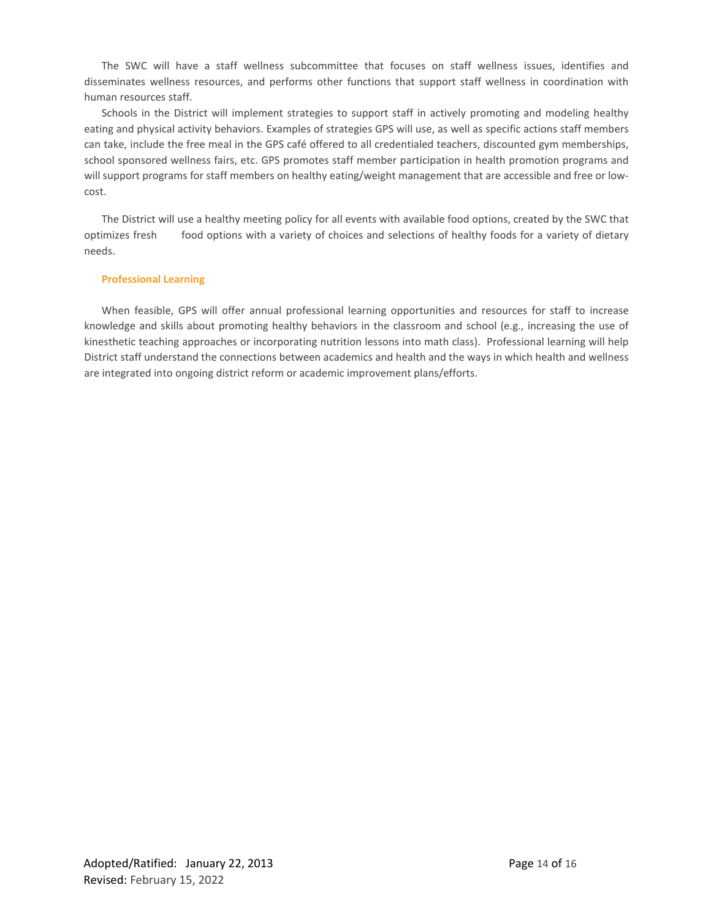The SWC will have a staff wellness subcommittee that focuses on staff wellness issues, identifies and disseminates wellness resources, and performs other functions that support staff wellness in coordination with human resources staff.

Schools in the District will implement strategies to support staff in actively promoting and modeling healthy eating and physical activity behaviors. Examples of strategies GPS will use, as well as specific actions staff members can take, include the free meal in the GPS café offered to all credentialed teachers, discounted gym memberships, school sponsored wellness fairs, etc. GPS promotes staff member participation in health promotion programs and will support programs for staff members on healthy eating/weight management that are accessible and free or lowcost.

The District will use a healthy meeting policy for all events with available food options, created by the SWC that optimizes fresh food options with a variety of choices and selections of healthy foods for a variety of dietary needs.

# **Professional Learning**

When feasible, GPS will offer annual professional learning opportunities and resources for staff to increase knowledge and skills about promoting healthy behaviors in the classroom and school (e.g., increasing the use of kinesthetic teaching approaches or incorporating nutrition lessons into math class). Professional learning will help District staff understand the connections between academics and health and the ways in which health and wellness are integrated into ongoing district reform or academic improvement plans/efforts.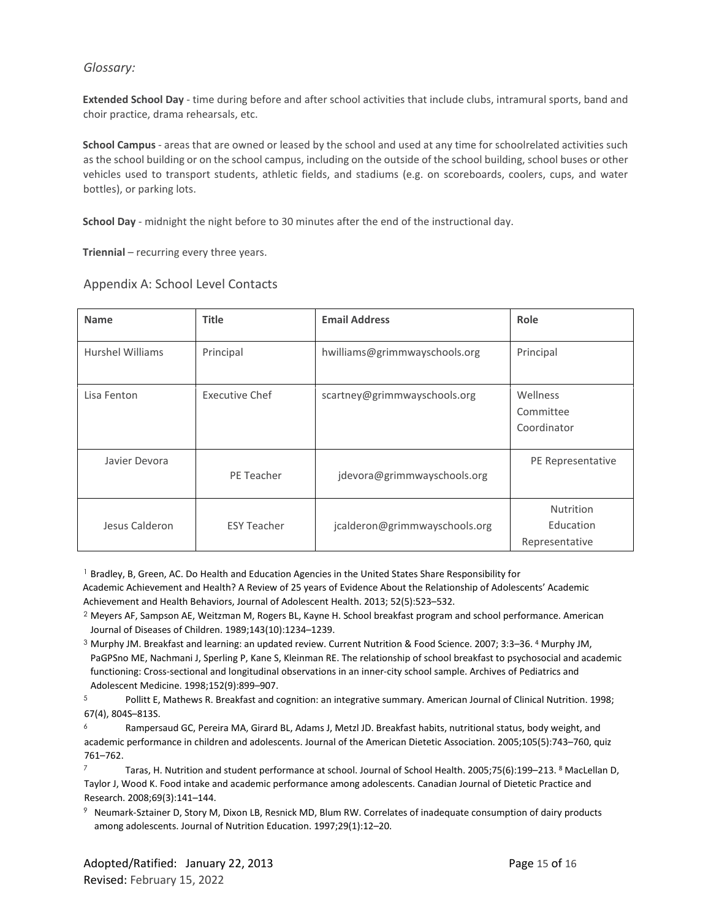# *Glossary:*

**Extended School Day** - time during before and after school activities that include clubs, intramural sports, band and choir practice, drama rehearsals, etc.

**School Campus** - areas that are owned or leased by the school and used at any time for schoolrelated activities such as the school building or on the school campus, including on the outside of the school building, school buses or other vehicles used to transport students, athletic fields, and stadiums (e.g. on scoreboards, coolers, cups, and water bottles), or parking lots.

**School Day** - midnight the night before to 30 minutes after the end of the instructional day.

**Triennial** – recurring every three years.

| <b>Name</b>             | <b>Title</b>          | <b>Email Address</b>          | Role                                     |
|-------------------------|-----------------------|-------------------------------|------------------------------------------|
| <b>Hurshel Williams</b> | Principal             | hwilliams@grimmwayschools.org | Principal                                |
| Lisa Fenton             | <b>Executive Chef</b> | scartney@grimmwayschools.org  | Wellness<br>Committee<br>Coordinator     |
| Javier Devora           | PE Teacher            | jdevora@grimmwayschools.org   | PE Representative                        |
| Jesus Calderon          | <b>ESY Teacher</b>    | jcalderon@grimmwayschools.org | Nutrition<br>Education<br>Representative |

Appendix A: School Level Contacts

<sup>1</sup> Bradley, B, Green, AC. Do Health and Education Agencies in the United States Share Responsibility for Academic Achievement and Health? A Review of 25 years of Evidence About the Relationship of Adolescents' Academic Achievement and Health Behaviors, Journal of Adolescent Health. 2013; 52(5):523–532.

- $2$  Meyers AF, Sampson AE, Weitzman M, Rogers BL, Kayne H. School breakfast program and school performance. American Journal of Diseases of Children. 1989;143(10):1234–1239.
- <sup>3</sup> Murphy JM. Breakfast and learning: an updated review. Current Nutrition & Food Science. 2007; 3:3–36. 4 Murphy JM, PaGPSno ME, Nachmani J, Sperling P, Kane S, Kleinman RE. The relationship of school breakfast to psychosocial and academic functioning: Cross-sectional and longitudinal observations in an inner-city school sample. Archives of Pediatrics and Adolescent Medicine. 1998;152(9):899–907.

<sup>5</sup> Pollitt E, Mathews R. Breakfast and cognition: an integrative summary. American Journal of Clinical Nutrition. 1998; 67(4), 804S–813S.

6 Rampersaud GC, Pereira MA, Girard BL, Adams J, Metzl JD. Breakfast habits, nutritional status, body weight, and academic performance in children and adolescents. Journal of the American Dietetic Association. 2005;105(5):743–760, quiz 761–762.

Taras, H. Nutrition and student performance at school. Journal of School Health. 2005;75(6):199–213. <sup>8</sup> MacLellan D, Taylor J, Wood K. Food intake and academic performance among adolescents. Canadian Journal of Dietetic Practice and Research. 2008;69(3):141–144.

 $9$  Neumark-Sztainer D, Story M, Dixon LB, Resnick MD, Blum RW. Correlates of inadequate consumption of dairy products among adolescents. Journal of Nutrition Education. 1997;29(1):12–20.